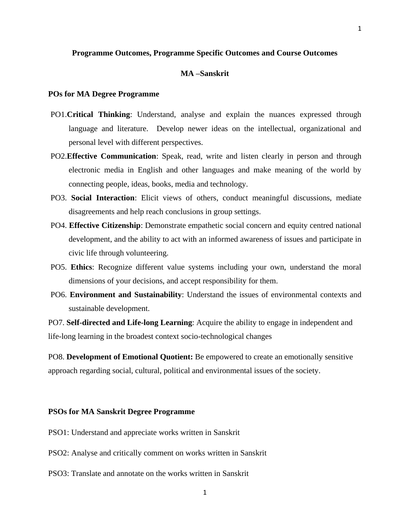# **Programme Outcomes, Programme Specific Outcomes and Course Outcomes**

# **MA –Sanskrit**

## **POs for MA Degree Programme**

- PO1.**Critical Thinking**: Understand, analyse and explain the nuances expressed through language and literature. Develop newer ideas on the intellectual, organizational and personal level with different perspectives.
- PO2.**Effective Communication**: Speak, read, write and listen clearly in person and through electronic media in English and other languages and make meaning of the world by connecting people, ideas, books, media and technology.
- PO3. **Social Interaction**: Elicit views of others, conduct meaningful discussions, mediate disagreements and help reach conclusions in group settings.
- PO4. **Effective Citizenship**: Demonstrate empathetic social concern and equity centred national development, and the ability to act with an informed awareness of issues and participate in civic life through volunteering.
- PO5. **Ethics**: Recognize different value systems including your own, understand the moral dimensions of your decisions, and accept responsibility for them.
- PO6. **Environment and Sustainability**: Understand the issues of environmental contexts and sustainable development.

PO7. **Self-directed and Life-long Learning**: Acquire the ability to engage in independent and life-long learning in the broadest context socio-technological changes

PO8. **Development of Emotional Quotient:** Be empowered to create an emotionally sensitive approach regarding social, cultural, political and environmental issues of the society.

#### **PSOs for MA Sanskrit Degree Programme**

- PSO1: Understand and appreciate works written in Sanskrit
- PSO2: Analyse and critically comment on works written in Sanskrit
- PSO3: Translate and annotate on the works written in Sanskrit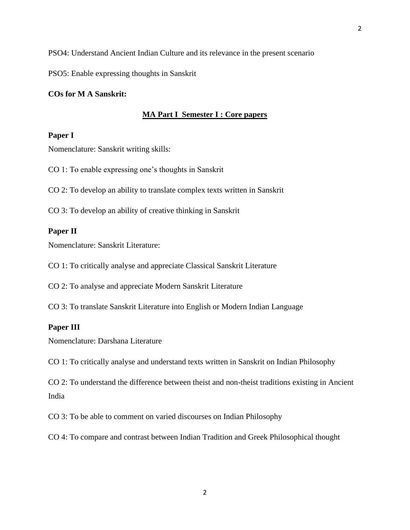PSO5: Enable expressing thoughts in Sanskrit

## **COs for M A Sanskrit:**

## **MA Part I Semester I : Core papers**

# **Paper I**

Nomenclature: Sanskrit writing skills:

CO 1: To enable expressing one's thoughts in Sanskrit

CO 2: To develop an ability to translate complex texts written in Sanskrit

CO 3: To develop an ability of creative thinking in Sanskrit

### **Paper II**

Nomenclature: Sanskrit Literature:

CO 1: To critically analyse and appreciate Classical Sanskrit Literature

CO 2: To analyse and appreciate Modern Sanskrit Literature

CO 3: To translate Sanskrit Literature into English or Modern Indian Language

## **Paper III**

Nomenclature: Darshana Literature

CO 1: To critically analyse and understand texts written in Sanskrit on Indian Philosophy

CO 2: To understand the difference between theist and non-theist traditions existing in Ancient India

CO 3: To be able to comment on varied discourses on Indian Philosophy

CO 4: To compare and contrast between Indian Tradition and Greek Philosophical thought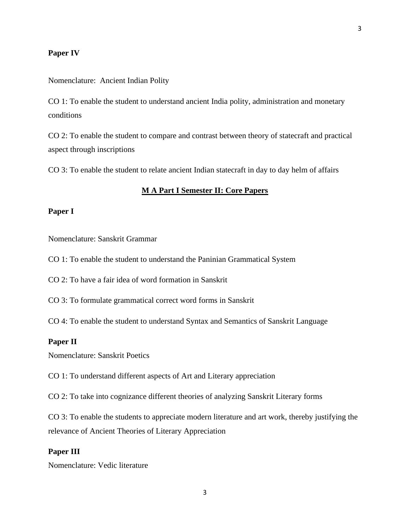## **Paper IV**

Nomenclature: Ancient Indian Polity

CO 1: To enable the student to understand ancient India polity, administration and monetary conditions

CO 2: To enable the student to compare and contrast between theory of statecraft and practical aspect through inscriptions

CO 3: To enable the student to relate ancient Indian statecraft in day to day helm of affairs

#### **M A Part I Semester II: Core Papers**

# **Paper I**

Nomenclature: Sanskrit Grammar

CO 1: To enable the student to understand the Paninian Grammatical System

CO 2: To have a fair idea of word formation in Sanskrit

CO 3: To formulate grammatical correct word forms in Sanskrit

CO 4: To enable the student to understand Syntax and Semantics of Sanskrit Language

## **Paper II**

Nomenclature: Sanskrit Poetics

CO 1: To understand different aspects of Art and Literary appreciation

CO 2: To take into cognizance different theories of analyzing Sanskrit Literary forms

CO 3: To enable the students to appreciate modern literature and art work, thereby justifying the relevance of Ancient Theories of Literary Appreciation

## **Paper III**

Nomenclature: Vedic literature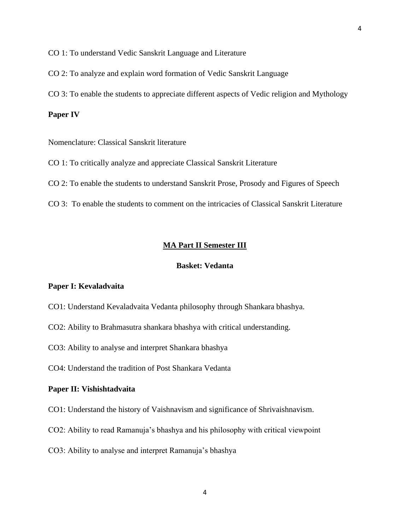CO 1: To understand Vedic Sanskrit Language and Literature

CO 2: To analyze and explain word formation of Vedic Sanskrit Language

CO 3: To enable the students to appreciate different aspects of Vedic religion and Mythology

## **Paper IV**

Nomenclature: Classical Sanskrit literature

CO 1: To critically analyze and appreciate Classical Sanskrit Literature

CO 2: To enable the students to understand Sanskrit Prose, Prosody and Figures of Speech

CO 3: To enable the students to comment on the intricacies of Classical Sanskrit Literature

### **MA Part II Semester III**

# **Basket: Vedanta**

## **Paper I: Kevaladvaita**

- CO1: Understand Kevaladvaita Vedanta philosophy through Shankara bhashya.
- CO2: Ability to Brahmasutra shankara bhashya with critical understanding.

CO3: Ability to analyse and interpret Shankara bhashya

CO4: Understand the tradition of Post Shankara Vedanta

#### **Paper II: Vishishtadvaita**

- CO1: Understand the history of Vaishnavism and significance of Shrivaishnavism.
- CO2: Ability to read Ramanuja's bhashya and his philosophy with critical viewpoint
- CO3: Ability to analyse and interpret Ramanuja's bhashya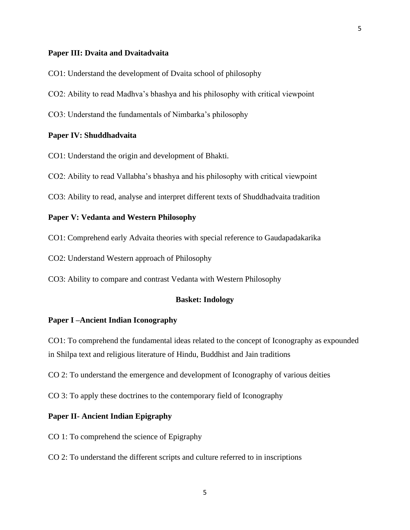## **Paper III: Dvaita and Dvaitadvaita**

- CO1: Understand the development of Dvaita school of philosophy
- CO2: Ability to read Madhva's bhashya and his philosophy with critical viewpoint
- CO3: Understand the fundamentals of Nimbarka's philosophy

## **Paper IV: Shuddhadvaita**

- CO1: Understand the origin and development of Bhakti.
- CO2: Ability to read Vallabha's bhashya and his philosophy with critical viewpoint
- CO3: Ability to read, analyse and interpret different texts of Shuddhadvaita tradition

# **Paper V: Vedanta and Western Philosophy**

- CO1: Comprehend early Advaita theories with special reference to Gaudapadakarika
- CO2: Understand Western approach of Philosophy
- CO3: Ability to compare and contrast Vedanta with Western Philosophy

## **Basket: Indology**

## **Paper I –Ancient Indian Iconography**

CO1: To comprehend the fundamental ideas related to the concept of Iconography as expounded in Shilpa text and religious literature of Hindu, Buddhist and Jain traditions

- CO 2: To understand the emergence and development of Iconography of various deities
- CO 3: To apply these doctrines to the contemporary field of Iconography

## **Paper II- Ancient Indian Epigraphy**

- CO 1: To comprehend the science of Epigraphy
- CO 2: To understand the different scripts and culture referred to in inscriptions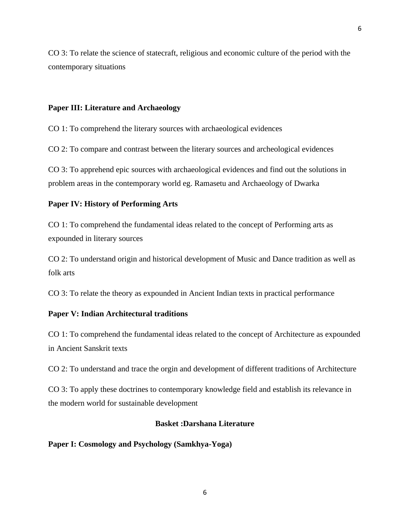CO 3: To relate the science of statecraft, religious and economic culture of the period with the contemporary situations

## **Paper III: Literature and Archaeology**

CO 1: To comprehend the literary sources with archaeological evidences

CO 2: To compare and contrast between the literary sources and archeological evidences

CO 3: To apprehend epic sources with archaeological evidences and find out the solutions in problem areas in the contemporary world eg. Ramasetu and Archaeology of Dwarka

# **Paper IV: History of Performing Arts**

CO 1: To comprehend the fundamental ideas related to the concept of Performing arts as expounded in literary sources

CO 2: To understand origin and historical development of Music and Dance tradition as well as folk arts

CO 3: To relate the theory as expounded in Ancient Indian texts in practical performance

# **Paper V: Indian Architectural traditions**

CO 1: To comprehend the fundamental ideas related to the concept of Architecture as expounded in Ancient Sanskrit texts

CO 2: To understand and trace the orgin and development of different traditions of Architecture

CO 3: To apply these doctrines to contemporary knowledge field and establish its relevance in the modern world for sustainable development

# **Basket :Darshana Literature**

## **Paper I: Cosmology and Psychology (Samkhya-Yoga)**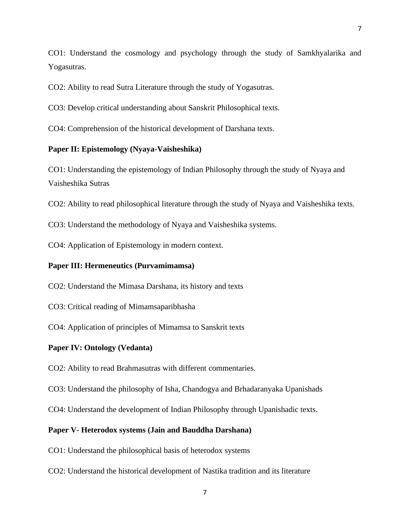CO1: Understand the cosmology and psychology through the study of Samkhyalarika and Yogasutras.

CO2: Ability to read Sutra Literature through the study of Yogasutras.

CO3: Develop critical understanding about Sanskrit Philosophical texts.

CO4: Comprehension of the historical development of Darshana texts.

# **Paper II: Epistemology (Nyaya-Vaisheshika)**

CO1: Understanding the epistemology of Indian Philosophy through the study of Nyaya and Vaisheshika Sutras

CO2: Ability to read philosophical literature through the study of Nyaya and Vaisheshika texts.

CO3: Understand the methodology of Nyaya and Vaisheshika systems.

CO4: Application of Epistemology in modern context.

## **Paper III: Hermeneutics (Purvamimamsa)**

CO2: Understand the Mimasa Darshana, its history and texts

CO3: Critical reading of Mimamsaparibhasha

CO4: Application of principles of Mimamsa to Sanskrit texts

## **Paper IV: Ontology (Vedanta)**

CO2: Ability to read Brahmasutras with different commentaries.

CO3: Understand the philosophy of Isha, Chandogya and Brhadaranyaka Upanishads

CO4: Understand the development of Indian Philosophy through Upanishadic texts.

## **Paper V- Heterodox systems (Jain and Bauddha Darshana)**

CO1: Understand the philosophical basis of heterodox systems

CO2: Understand the historical development of Nastika tradition and its literature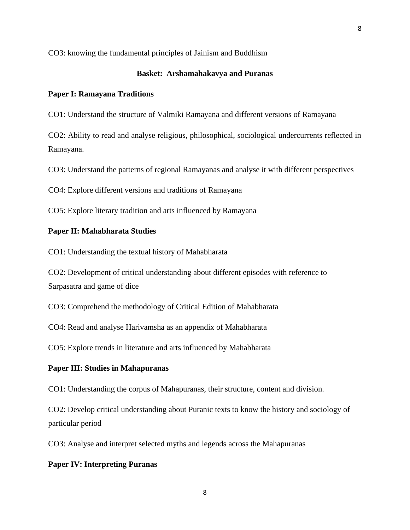CO3: knowing the fundamental principles of Jainism and Buddhism

## **Basket: Arshamahakavya and Puranas**

#### **Paper I: Ramayana Traditions**

CO1: Understand the structure of Valmiki Ramayana and different versions of Ramayana

CO2: Ability to read and analyse religious, philosophical, sociological undercurrents reflected in Ramayana.

CO3: Understand the patterns of regional Ramayanas and analyse it with different perspectives

CO4: Explore different versions and traditions of Ramayana

CO5: Explore literary tradition and arts influenced by Ramayana

## **Paper II: Mahabharata Studies**

CO1: Understanding the textual history of Mahabharata

CO2: Development of critical understanding about different episodes with reference to Sarpasatra and game of dice

CO3: Comprehend the methodology of Critical Edition of Mahabharata

CO4: Read and analyse Harivamsha as an appendix of Mahabharata

CO5: Explore trends in literature and arts influenced by Mahabharata

## **Paper III: Studies in Mahapuranas**

CO1: Understanding the corpus of Mahapuranas, their structure, content and division.

CO2: Develop critical understanding about Puranic texts to know the history and sociology of particular period

CO3: Analyse and interpret selected myths and legends across the Mahapuranas

### **Paper IV: Interpreting Puranas**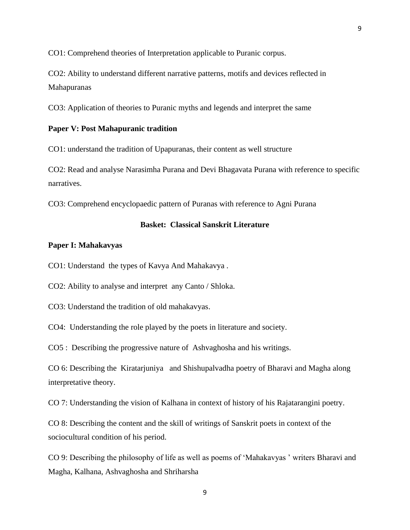CO1: Comprehend theories of Interpretation applicable to Puranic corpus.

CO2: Ability to understand different narrative patterns, motifs and devices reflected in Mahapuranas

CO3: Application of theories to Puranic myths and legends and interpret the same

# **Paper V: Post Mahapuranic tradition**

CO1: understand the tradition of Upapuranas, their content as well structure

CO2: Read and analyse Narasimha Purana and Devi Bhagavata Purana with reference to specific narratives.

CO3: Comprehend encyclopaedic pattern of Puranas with reference to Agni Purana

## **Basket: Classical Sanskrit Literature**

#### **Paper I: Mahakavyas**

CO1: Understand the types of Kavya And Mahakavya .

CO2: Ability to analyse and interpret any Canto / Shloka.

CO3: Understand the tradition of old mahakavyas.

CO4: Understanding the role played by the poets in literature and society.

CO5 : Describing the progressive nature of Ashvaghosha and his writings.

CO 6: Describing the Kiratarjuniya and Shishupalvadha poetry of Bharavi and Magha along interpretative theory.

CO 7: Understanding the vision of Kalhana in context of history of his Rajatarangini poetry.

CO 8: Describing the content and the skill of writings of Sanskrit poets in context of the sociocultural condition of his period.

CO 9: Describing the philosophy of life as well as poems of 'Mahakavyas ' writers Bharavi and Magha, Kalhana, Ashvaghosha and Shriharsha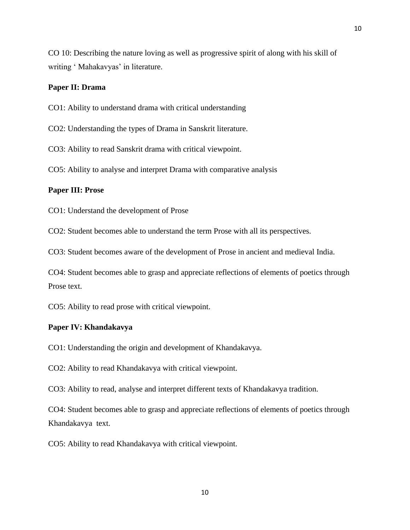CO 10: Describing the nature loving as well as progressive spirit of along with his skill of writing ' Mahakavyas' in literature.

## **Paper II: Drama**

CO1: Ability to understand drama with critical understanding

CO2: Understanding the types of Drama in Sanskrit literature.

CO3: Ability to read Sanskrit drama with critical viewpoint.

CO5: Ability to analyse and interpret Drama with comparative analysis

## **Paper III: Prose**

CO1: Understand the development of Prose

CO2: Student becomes able to understand the term Prose with all its perspectives.

CO3: Student becomes aware of the development of Prose in ancient and medieval India.

CO4: Student becomes able to grasp and appreciate reflections of elements of poetics through Prose text.

CO5: Ability to read prose with critical viewpoint.

## **Paper IV: Khandakavya**

CO1: Understanding the origin and development of Khandakavya.

CO2: Ability to read Khandakavya with critical viewpoint.

CO3: Ability to read, analyse and interpret different texts of Khandakavya tradition.

CO4: Student becomes able to grasp and appreciate reflections of elements of poetics through Khandakavya text.

CO5: Ability to read Khandakavya with critical viewpoint.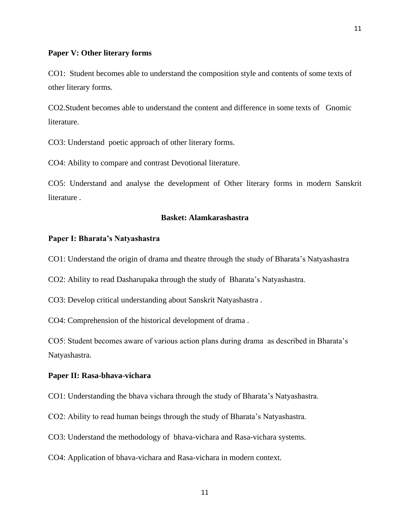## **Paper V: Other literary forms**

CO1: Student becomes able to understand the composition style and contents of some texts of other literary forms.

CO2.Student becomes able to understand the content and difference in some texts of Gnomic literature.

CO3: Understand poetic approach of other literary forms.

CO4: Ability to compare and contrast Devotional literature.

CO5: Understand and analyse the development of Other literary forms in modern Sanskrit literature .

# **Basket: Alamkarashastra**

#### **Paper I: Bharata's Natyashastra**

CO1: Understand the origin of drama and theatre through the study of Bharata's Natyashastra

CO2: Ability to read Dasharupaka through the study of Bharata's Natyashastra.

CO3: Develop critical understanding about Sanskrit Natyashastra .

CO4: Comprehension of the historical development of drama .

CO5: Student becomes aware of various action plans during drama as described in Bharata's Natyashastra.

#### **Paper II: Rasa-bhava-vichara**

CO1: Understanding the bhava vichara through the study of Bharata's Natyashastra.

CO2: Ability to read human beings through the study of Bharata's Natyashastra.

CO3: Understand the methodology of bhava-vichara and Rasa-vichara systems.

CO4: Application of bhava-vichara and Rasa-vichara in modern context.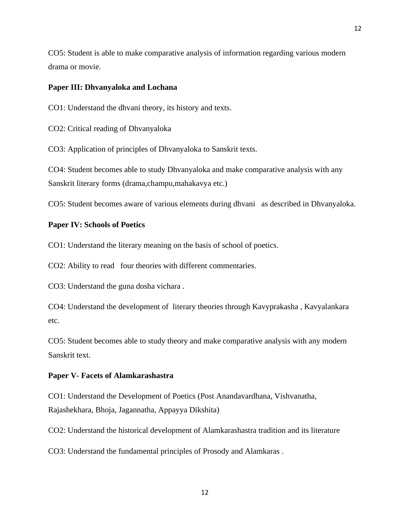CO5: Student is able to make comparative analysis of information regarding various modern drama or movie.

12

### **Paper III: Dhvanyaloka and Lochana**

CO1: Understand the dhvani theory, its history and texts.

CO2: Critical reading of Dhvanyaloka

CO3: Application of principles of Dhvanyaloka to Sanskrit texts.

CO4: Student becomes able to study Dhvanyaloka and make comparative analysis with any Sanskrit literary forms (drama,champu,mahakavya etc.)

CO5: Student becomes aware of various elements during dhvani as described in Dhvanyaloka.

# **Paper IV: Schools of Poetics**

CO1: Understand the literary meaning on the basis of school of poetics.

CO2: Ability to read four theories with different commentaries.

CO3: Understand the guna dosha vichara .

CO4: Understand the development of literary theories through Kavyprakasha , Kavyalankara etc.

CO5: Student becomes able to study theory and make comparative analysis with any modern Sanskrit text.

## **Paper V- Facets of Alamkarashastra**

CO1: Understand the Development of Poetics (Post Anandavardhana, Vishvanatha, Rajashekhara, Bhoja, Jagannatha, Appayya Dikshita)

CO2: Understand the historical development of Alamkarashastra tradition and its literature

CO3: Understand the fundamental principles of Prosody and Alamkaras .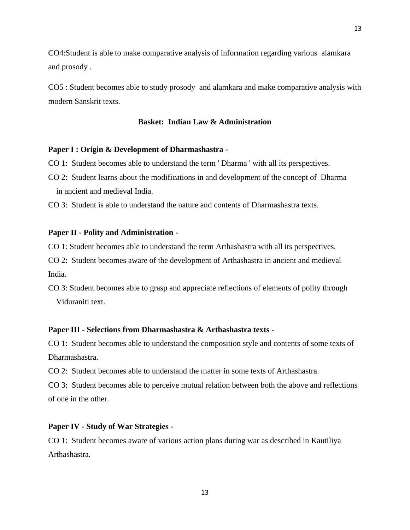CO4:Student is able to make comparative analysis of information regarding various alamkara and prosody .

CO5 : Student becomes able to study prosody and alamkara and make comparative analysis with modern Sanskrit texts.

# **Basket: Indian Law & Administration**

## **Paper I : Origin & Development of Dharmashastra -**

- CO 1: Student becomes able to understand the term ' Dharma ' with all its perspectives.
- CO 2: Student learns about the modifications in and development of the concept of Dharma in ancient and medieval India.

CO 3: Student is able to understand the nature and contents of Dharmashastra texts.

### **Paper II - Polity and Administration -**

CO 1: Student becomes able to understand the term Arthashastra with all its perspectives.

CO 2: Student becomes aware of the development of Arthashastra in ancient and medieval India.

CO 3: Student becomes able to grasp and appreciate reflections of elements of polity through Viduraniti text.

## **Paper III - Selections from Dharmashastra & Arthashastra texts -**

CO 1: Student becomes able to understand the composition style and contents of some texts of Dharmashastra.

CO 2: Student becomes able to understand the matter in some texts of Arthashastra.

CO 3: Student becomes able to perceive mutual relation between both the above and reflections of one in the other.

## **Paper IV - Study of War Strategies -**

CO 1: Student becomes aware of various action plans during war as described in Kautiliya Arthashastra.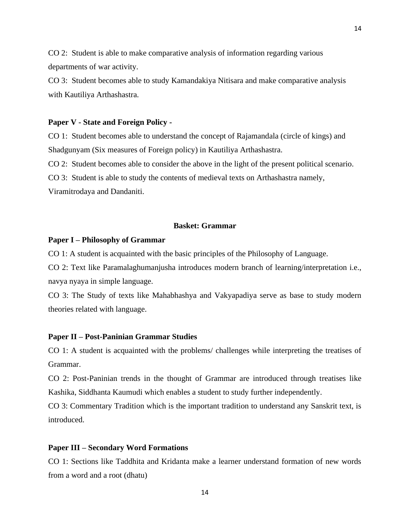CO 2: Student is able to make comparative analysis of information regarding various departments of war activity.

CO 3: Student becomes able to study Kamandakiya Nitisara and make comparative analysis with Kautiliya Arthashastra.

#### **Paper V - State and Foreign Policy -**

CO 1: Student becomes able to understand the concept of Rajamandala (circle of kings) and Shadgunyam (Six measures of Foreign policy) in Kautiliya Arthashastra.

CO 2: Student becomes able to consider the above in the light of the present political scenario.

CO 3: Student is able to study the contents of medieval texts on Arthashastra namely,

Viramitrodaya and Dandaniti.

#### **Basket: Grammar**

#### **Paper I – Philosophy of Grammar**

CO 1: A student is acquainted with the basic principles of the Philosophy of Language.

CO 2: Text like Paramalaghumanjusha introduces modern branch of learning/interpretation i.e., navya nyaya in simple language.

CO 3: The Study of texts like Mahabhashya and Vakyapadiya serve as base to study modern theories related with language.

#### **Paper II – Post-Paninian Grammar Studies**

CO 1: A student is acquainted with the problems/ challenges while interpreting the treatises of Grammar.

CO 2: Post-Paninian trends in the thought of Grammar are introduced through treatises like Kashika, Siddhanta Kaumudi which enables a student to study further independently.

CO 3: Commentary Tradition which is the important tradition to understand any Sanskrit text, is introduced.

#### **Paper III – Secondary Word Formations**

CO 1: Sections like Taddhita and Kridanta make a learner understand formation of new words from a word and a root (dhatu)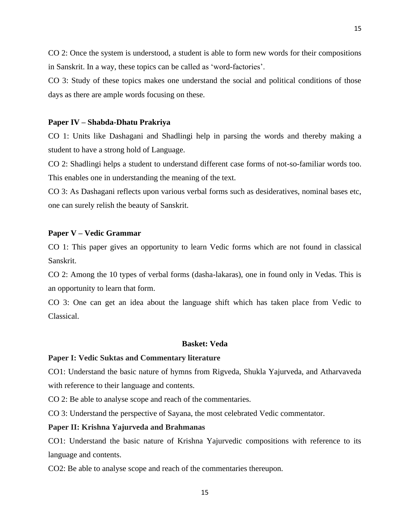CO 2: Once the system is understood, a student is able to form new words for their compositions in Sanskrit. In a way, these topics can be called as 'word-factories'.

15

CO 3: Study of these topics makes one understand the social and political conditions of those days as there are ample words focusing on these.

#### **Paper IV – Shabda-Dhatu Prakriya**

CO 1: Units like Dashagani and Shadlingi help in parsing the words and thereby making a student to have a strong hold of Language.

CO 2: Shadlingi helps a student to understand different case forms of not-so-familiar words too. This enables one in understanding the meaning of the text.

CO 3: As Dashagani reflects upon various verbal forms such as desideratives, nominal bases etc, one can surely relish the beauty of Sanskrit.

#### **Paper V – Vedic Grammar**

CO 1: This paper gives an opportunity to learn Vedic forms which are not found in classical Sanskrit.

CO 2: Among the 10 types of verbal forms (dasha-lakaras), one in found only in Vedas. This is an opportunity to learn that form.

CO 3: One can get an idea about the language shift which has taken place from Vedic to Classical.

## **Basket: Veda**

### **Paper I: Vedic Suktas and Commentary literature**

CO1: Understand the basic nature of hymns from Rigveda, Shukla Yajurveda, and Atharvaveda with reference to their language and contents.

CO 2: Be able to analyse scope and reach of the commentaries.

CO 3: Understand the perspective of Sayana, the most celebrated Vedic commentator.

#### **Paper II: Krishna Yajurveda and Brahmanas**

CO1: Understand the basic nature of Krishna Yajurvedic compositions with reference to its language and contents.

CO2: Be able to analyse scope and reach of the commentaries thereupon.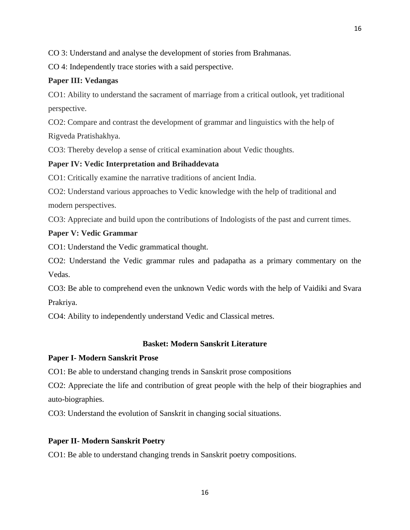CO 3: Understand and analyse the development of stories from Brahmanas.

CO 4: Independently trace stories with a said perspective.

# **Paper III: Vedangas**

CO1: Ability to understand the sacrament of marriage from a critical outlook, yet traditional perspective.

CO2: Compare and contrast the development of grammar and linguistics with the help of Rigveda Pratishakhya.

CO3: Thereby develop a sense of critical examination about Vedic thoughts.

# **Paper IV: Vedic Interpretation and Brihaddevata**

CO1: Critically examine the narrative traditions of ancient India.

CO2: Understand various approaches to Vedic knowledge with the help of traditional and modern perspectives.

CO3: Appreciate and build upon the contributions of Indologists of the past and current times.

# **Paper V: Vedic Grammar**

CO1: Understand the Vedic grammatical thought.

CO2: Understand the Vedic grammar rules and padapatha as a primary commentary on the Vedas.

CO3: Be able to comprehend even the unknown Vedic words with the help of Vaidiki and Svara Prakriya.

CO4: Ability to independently understand Vedic and Classical metres.

# **Basket: Modern Sanskrit Literature**

# **Paper I- Modern Sanskrit Prose**

CO1: Be able to understand changing trends in Sanskrit prose compositions

CO2: Appreciate the life and contribution of great people with the help of their biographies and auto-biographies.

CO3: Understand the evolution of Sanskrit in changing social situations.

# **Paper II- Modern Sanskrit Poetry**

CO1: Be able to understand changing trends in Sanskrit poetry compositions.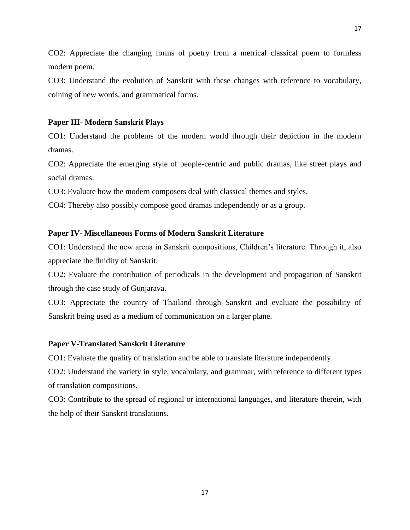CO2: Appreciate the changing forms of poetry from a metrical classical poem to formless modern poem.

CO3: Understand the evolution of Sanskrit with these changes with reference to vocabulary, coining of new words, and grammatical forms.

# **Paper III- Modern Sanskrit Plays**

CO1: Understand the problems of the modern world through their depiction in the modern dramas.

CO2: Appreciate the emerging style of people-centric and public dramas, like street plays and social dramas.

CO3: Evaluate how the modern composers deal with classical themes and styles.

CO4: Thereby also possibly compose good dramas independently or as a group.

# **Paper IV- Miscellaneous Forms of Modern Sanskrit Literature**

CO1: Understand the new arena in Sanskrit compositions, Children's literature. Through it, also appreciate the fluidity of Sanskrit.

CO2: Evaluate the contribution of periodicals in the development and propagation of Sanskrit through the case study of Gunjarava.

CO3: Appreciate the country of Thailand through Sanskrit and evaluate the possibility of Sanskrit being used as a medium of communication on a larger plane.

## **Paper V-Translated Sanskrit Literature**

CO1: Evaluate the quality of translation and be able to translate literature independently.

CO2: Understand the variety in style, vocabulary, and grammar, with reference to different types of translation compositions.

CO3: Contribute to the spread of regional or international languages, and literature therein, with the help of their Sanskrit translations.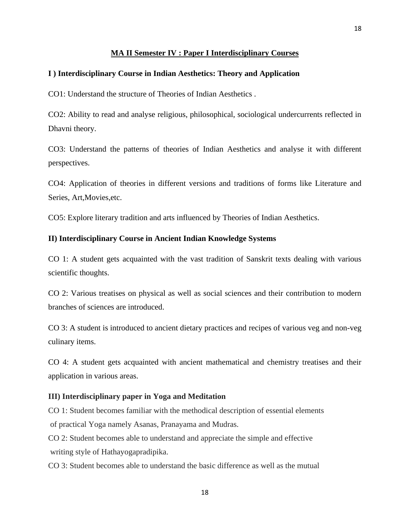## **MA II Semester IV : Paper I Interdisciplinary Courses**

## **I ) Interdisciplinary Course in Indian Aesthetics: Theory and Application**

CO1: Understand the structure of Theories of Indian Aesthetics .

CO2: Ability to read and analyse religious, philosophical, sociological undercurrents reflected in Dhavni theory.

CO3: Understand the patterns of theories of Indian Aesthetics and analyse it with different perspectives.

CO4: Application of theories in different versions and traditions of forms like Literature and Series, Art,Movies,etc.

CO5: Explore literary tradition and arts influenced by Theories of Indian Aesthetics.

#### **II) Interdisciplinary Course in Ancient Indian Knowledge Systems**

CO 1: A student gets acquainted with the vast tradition of Sanskrit texts dealing with various scientific thoughts.

CO 2: Various treatises on physical as well as social sciences and their contribution to modern branches of sciences are introduced.

CO 3: A student is introduced to ancient dietary practices and recipes of various veg and non-veg culinary items.

CO 4: A student gets acquainted with ancient mathematical and chemistry treatises and their application in various areas.

#### **III) Interdisciplinary paper in Yoga and Meditation**

CO 1: Student becomes familiar with the methodical description of essential elements of practical Yoga namely Asanas, Pranayama and Mudras.

CO 2: Student becomes able to understand and appreciate the simple and effective writing style of Hathayogapradipika.

CO 3: Student becomes able to understand the basic difference as well as the mutual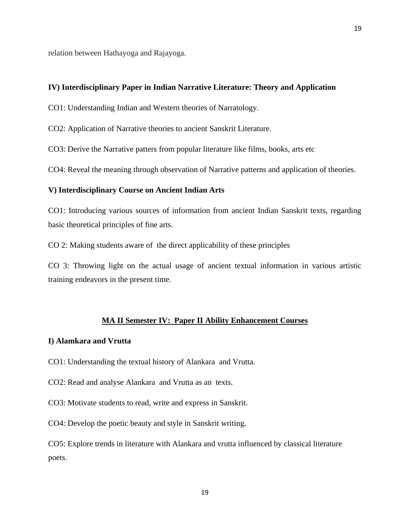relation between Hathayoga and Rajayoga.

## **IV) Interdisciplinary Paper in Indian Narrative Literature: Theory and Application**

CO1: Understanding Indian and Western theories of Narratology.

CO2: Application of Narrative theories to ancient Sanskrit Literature.

CO3: Derive the Narrative patters from popular literature like films, books, arts etc

CO4: Reveal the meaning through observation of Narrative patterns and application of theories.

#### **V) Interdisciplinary Course on Ancient Indian Arts**

CO1: Introducing various sources of information from ancient Indian Sanskrit texts, regarding basic theoretical principles of fine arts.

CO 2: Making students aware of the direct applicability of these principles

CO 3: Throwing light on the actual usage of ancient textual information in various artistic training endeavors in the present time.

#### **MA II Semester IV: Paper II Ability Enhancement Courses**

## **I) Alamkara and Vrutta**

CO1: Understanding the textual history of Alankara and Vrutta.

CO2: Read and analyse Alankara and Vrutta as an texts.

CO3: Motivate students to read, write and express in Sanskrit.

CO4: Develop the poetic beauty and style in Sanskrit writing.

CO5: Explore trends in literature with Alankara and vrutta influenced by classical literature poets.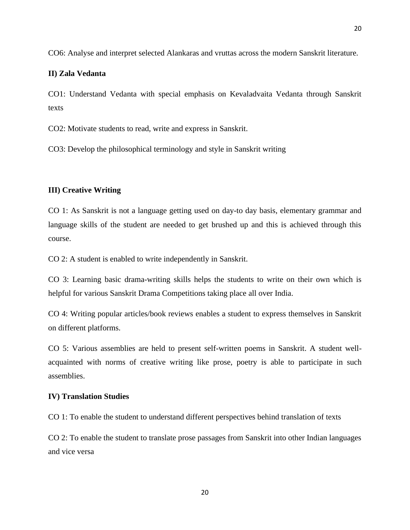20

# **II) Zala Vedanta**

CO1: Understand Vedanta with special emphasis on Kevaladvaita Vedanta through Sanskrit texts

CO2: Motivate students to read, write and express in Sanskrit.

CO3: Develop the philosophical terminology and style in Sanskrit writing

## **III) Creative Writing**

CO 1: As Sanskrit is not a language getting used on day-to day basis, elementary grammar and language skills of the student are needed to get brushed up and this is achieved through this course.

CO 2: A student is enabled to write independently in Sanskrit.

CO 3: Learning basic drama-writing skills helps the students to write on their own which is helpful for various Sanskrit Drama Competitions taking place all over India.

CO 4: Writing popular articles/book reviews enables a student to express themselves in Sanskrit on different platforms.

CO 5: Various assemblies are held to present self-written poems in Sanskrit. A student wellacquainted with norms of creative writing like prose, poetry is able to participate in such assemblies.

# **IV) Translation Studies**

CO 1: To enable the student to understand different perspectives behind translation of texts

CO 2: To enable the student to translate prose passages from Sanskrit into other Indian languages and vice versa